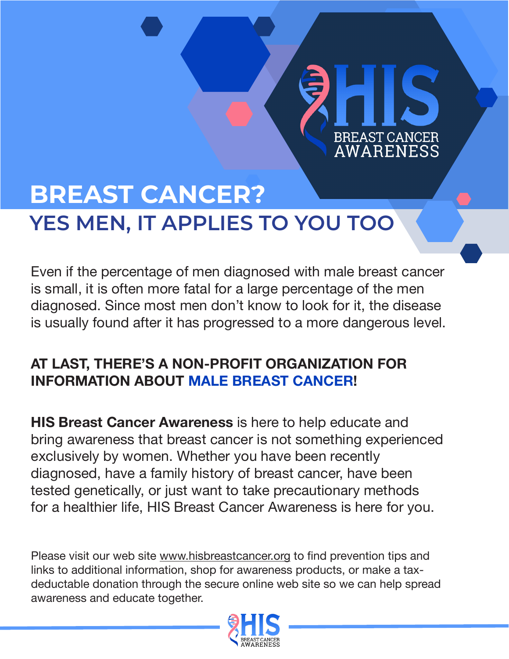# **BREAST CANCER? YES MEN, IT APPLIES TO YOU TOO**

Even if the percentage of men diagnosed with male breast cancer is small, it is often more fatal for a large percentage of the men diagnosed. Since most men don't know to look for it, the disease is usually found after it has progressed to a more dangerous level.

**BREAST CANCER AWARENESS** 

### **AT LAST, THERE'S A NON-PROFIT ORGANIZATION FOR INFORMATION ABOUT MALE BREAST CANCER!**

**HIS Breast Cancer Awareness** is here to help educate and bring awareness that breast cancer is not something experienced exclusively by women. Whether you have been recently diagnosed, have a family history of breast cancer, have been tested genetically, or just want to take precautionary methods for a healthier life, HIS Breast Cancer Awareness is here for you.

Please visit our web site www.hisbreastcancer.org to find prevention tips and links to additional information, shop for awareness products, or make a taxdeductable donation through the secure online web site so we can help spread awareness and educate together.

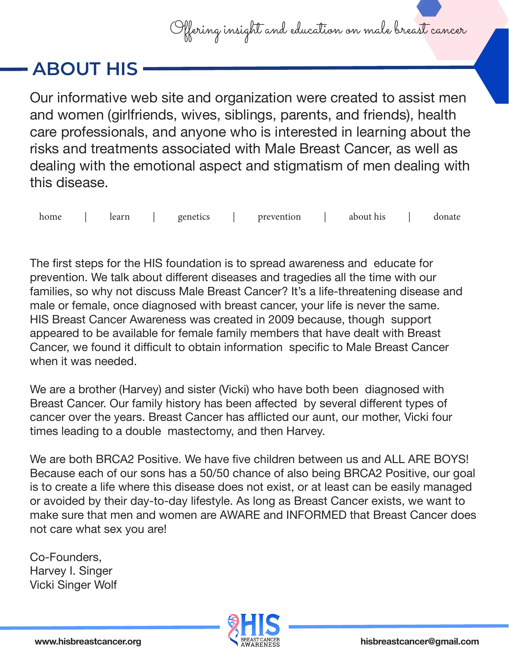

### **ABOUT HIS**

Our informative web site and organization were created to assist men and women (girlfriends, wives, siblings, parents, and friends), health care professionals, and anyone who is interested in learning about the risks and treatments associated with Male Breast Cancer, as well as dealing with the emotional aspect and stigmatism of men dealing with this disease.

home | learn | genetics | prevention | about-his | donate

The first steps for the HIS foundation is to spread awareness and educate for prevention. We talk about different diseases and tragedies all the time with our families, so why not discuss Male Breast Cancer? It's a life-threatening disease and male or female, once diagnosed with breast cancer, your life is never the same. HIS Breast Cancer Awareness was created in 2009 because, though support appeared to be available for female family members that have dealt with Breast Cancer, we found it difficult to obtain information specific to Male Breast Cancer when it was needed.

We are a brother (Harvey) and sister (Vicki) who have both been diagnosed with Breast Cancer. Our family history has been affected by several different types of cancer over the years. Breast Cancer has afflicted our aunt, our mother, Vicki four times leading to a double mastectomy, and then Harvey.

We are both BRCA2 Positive. We have five children between us and ALL ARE BOYS! Because each of our sons has a 50/50 chance of also being BRCA2 Positive, our goal is to create a life where this disease does not exist, or at least can be easily managed or avoided by their day-to-day lifestyle. As long as Breast Cancer exists, we want to make sure that men and women are AWARE and INFORMED that Breast Cancer does not care what sex you are!

Co-Founders, Harvey I. Singer Vicki Singer Wolf

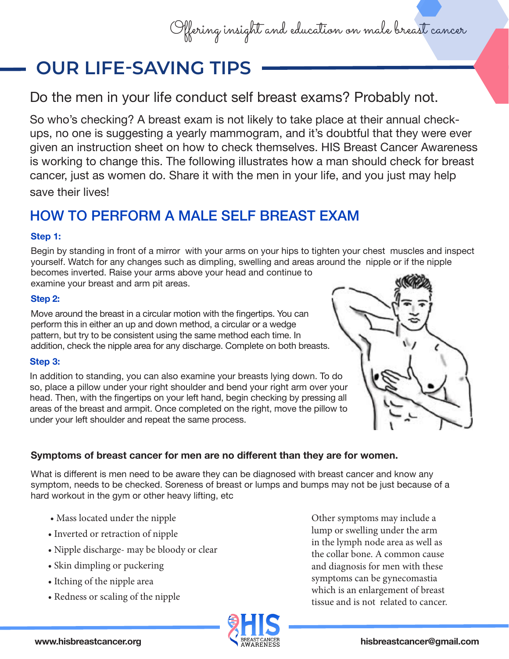## Offering insight and education on male breast cancer

## **OUR LIFE-SAVING TIPS**

Do the men in your life conduct self breast exams? Probably not.

So who's checking? A breast exam is not likely to take place at their annual checkups, no one is suggesting a yearly mammogram, and it's doubtful that they were ever given an instruction sheet on how to check themselves. HIS Breast Cancer Awareness is working to change this. The following illustrates how a man should check for breast cancer, just as women do. Share it with the men in your life, and you just may help save their lives!

### HOW TO PERFORM A MALE SELF BREAST EXAM

#### **Step 1:**

Begin by standing in front of a mirror with your arms on your hips to tighten your chest muscles and inspect yourself. Watch for any changes such as dimpling, swelling and areas around the nipple or if the nipple becomes inverted. Raise your arms above your head and continue to

examine your breast and arm pit areas.

#### **Step 2:**

Move around the breast in a circular motion with the fingertips. You can perform this in either an up and down method, a circular or a wedge pattern, but try to be consistent using the same method each time. In addition, check the nipple area for any discharge. Complete on both breasts.

#### **Step 3:**

In addition to standing, you can also examine your breasts lying down. To do so, place a pillow under your right shoulder and bend your right arm over your head. Then, with the fingertips on your left hand, begin checking by pressing all areas of the breast and armpit. Once completed on the right, move the pillow to under your left shoulder and repeat the same process.



#### **Symptoms of breast cancer for men are no different than they are for women.**

What is different is men need to be aware they can be diagnosed with breast cancer and know any symptom, needs to be checked. Soreness of breast or lumps and bumps may not be just because of a hard workout in the gym or other heavy lifting, etc

- Mass located under the nipple
- Inverted or retraction of nipple
- Nipple discharge- may be bloody or clear
- Skin dimpling or puckering
- Itching of the nipple area
- Redness or scaling of the nipple

Other symptoms may include a lump or swelling under the arm in the lymph node area as well as the collar bone. A common cause and diagnosis for men with these symptoms can be gynecomastia which is an enlargement of breast tissue and is not related to cancer.

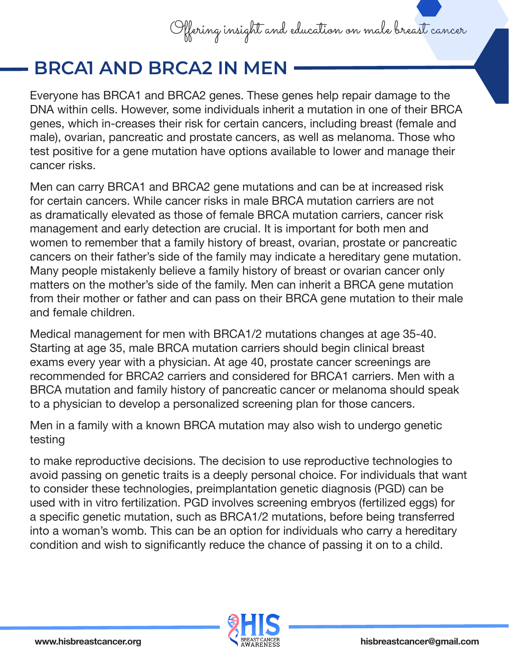

### **BRCA1 AND BRCA2 IN MEN**

Everyone has BRCA1 and BRCA2 genes. These genes help repair damage to the DNA within cells. However, some individuals inherit a mutation in one of their BRCA genes, which in-creases their risk for certain cancers, including breast (female and male), ovarian, pancreatic and prostate cancers, as well as melanoma. Those who test positive for a gene mutation have options available to lower and manage their cancer risks.

Men can carry BRCA1 and BRCA2 gene mutations and can be at increased risk for certain cancers. While cancer risks in male BRCA mutation carriers are not as dramatically elevated as those of female BRCA mutation carriers, cancer risk management and early detection are crucial. It is important for both men and women to remember that a family history of breast, ovarian, prostate or pancreatic cancers on their father's side of the family may indicate a hereditary gene mutation. Many people mistakenly believe a family history of breast or ovarian cancer only matters on the mother's side of the family. Men can inherit a BRCA gene mutation from their mother or father and can pass on their BRCA gene mutation to their male and female children.

Medical management for men with BRCA1/2 mutations changes at age 35-40. Starting at age 35, male BRCA mutation carriers should begin clinical breast exams every year with a physician. At age 40, prostate cancer screenings are recommended for BRCA2 carriers and considered for BRCA1 carriers. Men with a BRCA mutation and family history of pancreatic cancer or melanoma should speak to a physician to develop a personalized screening plan for those cancers.

Men in a family with a known BRCA mutation may also wish to undergo genetic testing

to make reproductive decisions. The decision to use reproductive technologies to avoid passing on genetic traits is a deeply personal choice. For individuals that want to consider these technologies, preimplantation genetic diagnosis (PGD) can be used with in vitro fertilization. PGD involves screening embryos (fertilized eggs) for a specific genetic mutation, such as BRCA1/2 mutations, before being transferred into a woman's womb. This can be an option for individuals who carry a hereditary condition and wish to significantly reduce the chance of passing it on to a child.

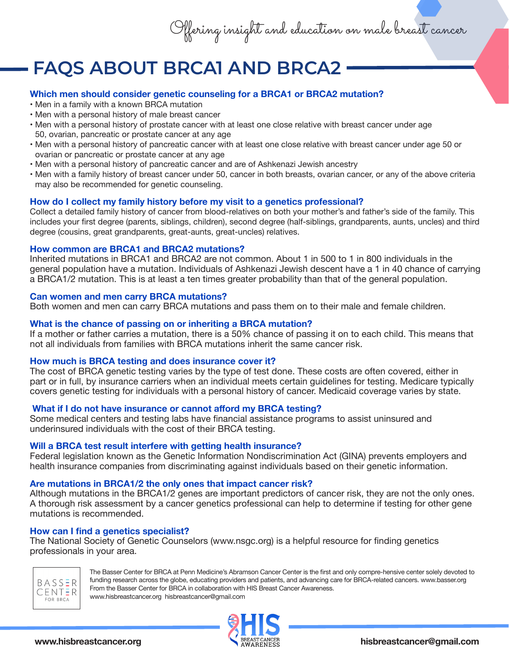Offering insight and education on male breast cancer

### **FAQS ABOUT BRCA1 AND BRCA2**

#### **Which men should consider genetic counseling for a BRCA1 or BRCA2 mutation?**

- Men in a family with a known BRCA mutation
- Men with a personal history of male breast cancer
- Men with a personal history of prostate cancer with at least one close relative with breast cancer under age 50, ovarian, pancreatic or prostate cancer at any age
- Men with a personal history of pancreatic cancer with at least one close relative with breast cancer under age 50 or ovarian or pancreatic or prostate cancer at any age
- Men with a personal history of pancreatic cancer and are of Ashkenazi Jewish ancestry
- Men with a family history of breast cancer under 50, cancer in both breasts, ovarian cancer, or any of the above criteria may also be recommended for genetic counseling.

#### **How do I collect my family history before my visit to a genetics professional?**

Collect a detailed family history of cancer from blood-relatives on both your mother's and father's side of the family. This includes your first degree (parents, siblings, children), second degree (half-siblings, grandparents, aunts, uncles) and third degree (cousins, great grandparents, great-aunts, great-uncles) relatives.

#### **How common are BRCA1 and BRCA2 mutations?**

Inherited mutations in BRCA1 and BRCA2 are not common. About 1 in 500 to 1 in 800 individuals in the general population have a mutation. Individuals of Ashkenazi Jewish descent have a 1 in 40 chance of carrying a BRCA1/2 mutation. This is at least a ten times greater probability than that of the general population.

#### **Can women and men carry BRCA mutations?**

Both women and men can carry BRCA mutations and pass them on to their male and female children.

#### **What is the chance of passing on or inheriting a BRCA mutation?**

If a mother or father carries a mutation, there is a 50% chance of passing it on to each child. This means that not all individuals from families with BRCA mutations inherit the same cancer risk.

#### **How much is BRCA testing and does insurance cover it?**

The cost of BRCA genetic testing varies by the type of test done. These costs are often covered, either in part or in full, by insurance carriers when an individual meets certain guidelines for testing. Medicare typically covers genetic testing for individuals with a personal history of cancer. Medicaid coverage varies by state.

#### **What if I do not have insurance or cannot afford my BRCA testing?**

Some medical centers and testing labs have financial assistance programs to assist uninsured and underinsured individuals with the cost of their BRCA testing.

#### **Will a BRCA test result interfere with getting health insurance?**

Federal legislation known as the Genetic Information Nondiscrimination Act (GINA) prevents employers and health insurance companies from discriminating against individuals based on their genetic information.

#### **Are mutations in BRCA1/2 the only ones that impact cancer risk?**

Although mutations in the BRCA1/2 genes are important predictors of cancer risk, they are not the only ones. A thorough risk assessment by a cancer genetics professional can help to determine if testing for other gene mutations is recommended.

#### **How can I find a genetics specialist?**

The National Society of Genetic Counselors (www.nsgc.org) is a helpful resource for finding genetics professionals in your area.



 The Basser Center for BRCA at Penn Medicine's Abramson Cancer Center is the first and only compre-hensive center solely devoted to funding research across the globe, educating providers and patients, and advancing care for BRCA-related cancers. www.basser.org From the Basser Center for BRCA in collaboration with HIS Breast Cancer Awareness. www.hisbreastcancer.org hisbreastcancer@gmail.com